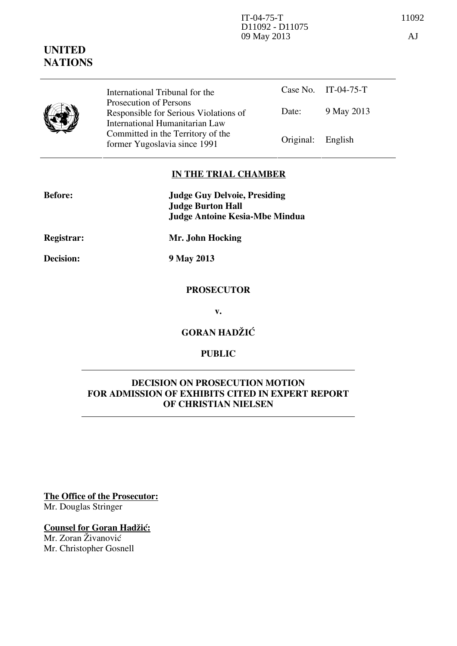# **UNITED NATIONS**

|  | International Tribunal for the                                                                    |                   | Case No. IT-04-75-T |
|--|---------------------------------------------------------------------------------------------------|-------------------|---------------------|
|  | Prosecution of Persons<br>Responsible for Serious Violations of<br>International Humanitarian Law | Date:             | 9 May 2013          |
|  | Committed in the Territory of the<br>former Yugoslavia since 1991                                 | Original: English |                     |

# **IN THE TRIAL CHAMBER**

| <b>Before:</b> | <b>Judge Guy Delvoie, Presiding</b> |  |
|----------------|-------------------------------------|--|
|                | <b>Judge Burton Hall</b>            |  |
|                | Judge Antoine Kesia-Mbe Mindua      |  |
| Registrar:     | Mr. John Hocking                    |  |

**Decision: 9 May 2013** 

# **PROSECUTOR**

**v.** 

**GORAN HADŽIĆ** 

## **PUBLIC**

# **DECISION ON PROSECUTION MOTION FOR ADMISSION OF EXHIBITS CITED IN EXPERT REPORT OF CHRISTIAN NIELSEN**

**The Office of the Prosecutor:** Mr. Douglas Stringer

# **Counsel for Goran Hadžić:**

Mr. Zoran Živanović Mr. Christopher Gosnell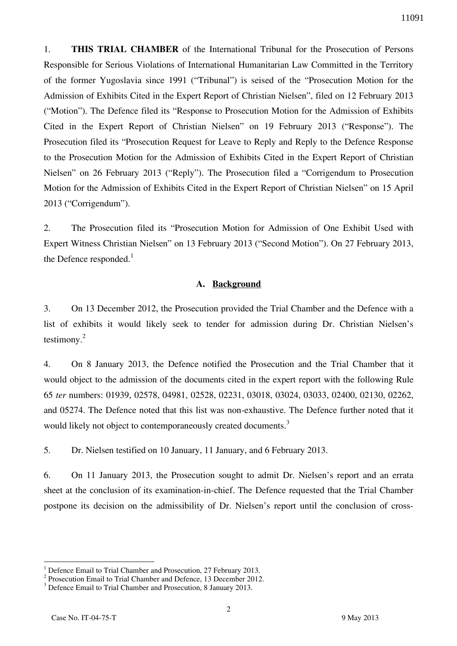1. **THIS TRIAL CHAMBER** of the International Tribunal for the Prosecution of Persons Responsible for Serious Violations of International Humanitarian Law Committed in the Territory of the former Yugoslavia since 1991 ("Tribunal") is seised of the "Prosecution Motion for the Admission of Exhibits Cited in the Expert Report of Christian Nielsen", filed on 12 February 2013 ("Motion"). The Defence filed its "Response to Prosecution Motion for the Admission of Exhibits Cited in the Expert Report of Christian Nielsen" on 19 February 2013 ("Response"). The Prosecution filed its "Prosecution Request for Leave to Reply and Reply to the Defence Response to the Prosecution Motion for the Admission of Exhibits Cited in the Expert Report of Christian Nielsen" on 26 February 2013 ("Reply"). The Prosecution filed a "Corrigendum to Prosecution Motion for the Admission of Exhibits Cited in the Expert Report of Christian Nielsen" on 15 April 2013 ("Corrigendum").

2. The Prosecution filed its "Prosecution Motion for Admission of One Exhibit Used with Expert Witness Christian Nielsen" on 13 February 2013 ("Second Motion"). On 27 February 2013, the Defence responded. $<sup>1</sup>$ </sup>

#### **A. Background**

3. On 13 December 2012, the Prosecution provided the Trial Chamber and the Defence with a list of exhibits it would likely seek to tender for admission during Dr. Christian Nielsen's testimony. $^{2}$ 

4. On 8 January 2013, the Defence notified the Prosecution and the Trial Chamber that it would object to the admission of the documents cited in the expert report with the following Rule 65 *ter* numbers: 01939, 02578, 04981, 02528, 02231, 03018, 03024, 03033, 02400, 02130, 02262, and 05274. The Defence noted that this list was non-exhaustive. The Defence further noted that it would likely not object to contemporaneously created documents.<sup>3</sup>

5. Dr. Nielsen testified on 10 January, 11 January, and 6 February 2013.

6. On 11 January 2013, the Prosecution sought to admit Dr. Nielsen's report and an errata sheet at the conclusion of its examination-in-chief. The Defence requested that the Trial Chamber postpone its decision on the admissibility of Dr. Nielsen's report until the conclusion of cross-

 1 Defence Email to Trial Chamber and Prosecution, 27 February 2013.

<sup>&</sup>lt;sup>2</sup> Prosecution Email to Trial Chamber and Defence, 13 December 2012.

<sup>&</sup>lt;sup>3</sup> Defence Email to Trial Chamber and Prosecution, 8 January 2013.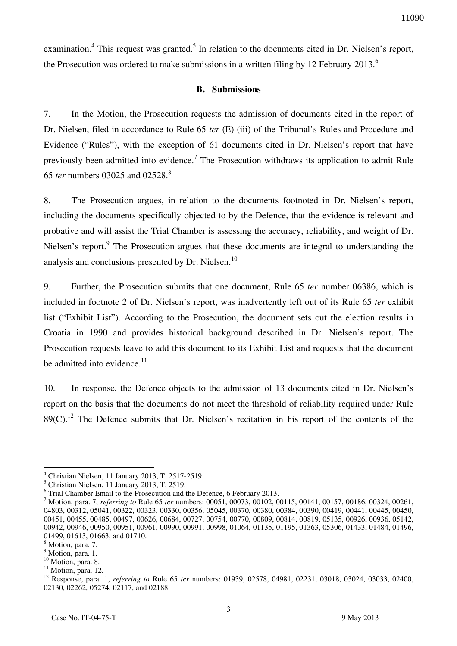examination.<sup>4</sup> This request was granted.<sup>5</sup> In relation to the documents cited in Dr. Nielsen's report, the Prosecution was ordered to make submissions in a written filing by 12 February 2013.<sup>6</sup>

#### **B. Submissions**

7. In the Motion, the Prosecution requests the admission of documents cited in the report of Dr. Nielsen, filed in accordance to Rule 65 *ter* (E) (iii) of the Tribunal's Rules and Procedure and Evidence ("Rules"), with the exception of 61 documents cited in Dr. Nielsen's report that have previously been admitted into evidence.<sup>7</sup> The Prosecution withdraws its application to admit Rule 65 *ter* numbers 03025 and 02528.<sup>8</sup>

8. The Prosecution argues, in relation to the documents footnoted in Dr. Nielsen's report, including the documents specifically objected to by the Defence, that the evidence is relevant and probative and will assist the Trial Chamber is assessing the accuracy, reliability, and weight of Dr. Nielsen's report.<sup>9</sup> The Prosecution argues that these documents are integral to understanding the analysis and conclusions presented by Dr. Nielsen.<sup>10</sup>

9. Further, the Prosecution submits that one document, Rule 65 *ter* number 06386, which is included in footnote 2 of Dr. Nielsen's report, was inadvertently left out of its Rule 65 *ter* exhibit list ("Exhibit List"). According to the Prosecution, the document sets out the election results in Croatia in 1990 and provides historical background described in Dr. Nielsen's report. The Prosecution requests leave to add this document to its Exhibit List and requests that the document be admitted into evidence. $11$ 

10. In response, the Defence objects to the admission of 13 documents cited in Dr. Nielsen's report on the basis that the documents do not meet the threshold of reliability required under Rule  $89(C)$ .<sup>12</sup> The Defence submits that Dr. Nielsen's recitation in his report of the contents of the

<sup>4</sup> Christian Nielsen, 11 January 2013, T. 2517-2519.

<sup>5</sup> Christian Nielsen, 11 January 2013, T. 2519.

<sup>&</sup>lt;sup>6</sup> Trial Chamber Email to the Prosecution and the Defence, 6 February 2013.

<sup>7</sup> Motion, para. 7, *referring to* Rule 65 *ter* numbers: 00051, 00073, 00102, 00115, 00141, 00157, 00186, 00324, 00261, 04803, 00312, 05041, 00322, 00323, 00330, 00356, 05045, 00370, 00380, 00384, 00390, 00419, 00441, 00445, 00450, 00451, 00455, 00485, 00497, 00626, 00684, 00727, 00754, 00770, 00809, 00814, 00819, 05135, 00926, 00936, 05142, 00942, 00946, 00950, 00951, 00961, 00990, 00991, 00998, 01064, 01135, 01195, 01363, 05306, 01433, 01484, 01496, 01499, 01613, 01663, and 01710.

<sup>&</sup>lt;sup>8</sup> Motion, para. 7.

<sup>&</sup>lt;sup>9</sup> Motion, para. 1.

<sup>&</sup>lt;sup>10</sup> Motion, para. 8.

 $11$  Motion, para. 12.

<sup>12</sup> Response, para. 1, *referring to* Rule 65 *ter* numbers: 01939, 02578, 04981, 02231, 03018, 03024, 03033, 02400, 02130, 02262, 05274, 02117, and 02188.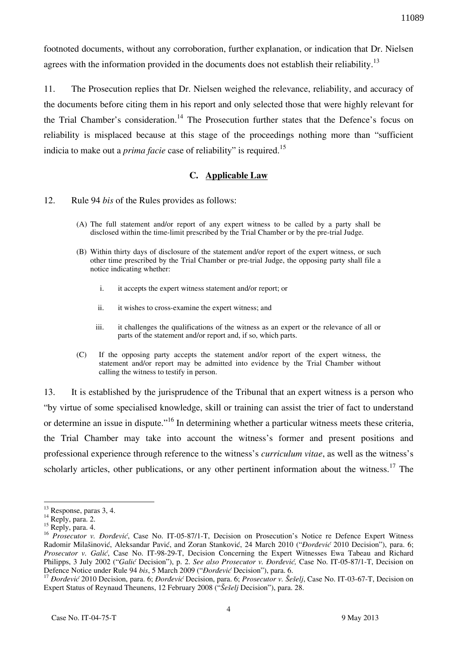footnoted documents, without any corroboration, further explanation, or indication that Dr. Nielsen agrees with the information provided in the documents does not establish their reliability.<sup>13</sup>

11. The Prosecution replies that Dr. Nielsen weighed the relevance, reliability, and accuracy of the documents before citing them in his report and only selected those that were highly relevant for the Trial Chamber's consideration.<sup>14</sup> The Prosecution further states that the Defence's focus on reliability is misplaced because at this stage of the proceedings nothing more than "sufficient indicia to make out a *prima facie* case of reliability" is required.<sup>15</sup>

## **C. Applicable Law**

## 12. Rule 94 *bis* of the Rules provides as follows:

- (A) The full statement and/or report of any expert witness to be called by a party shall be disclosed within the time-limit prescribed by the Trial Chamber or by the pre-trial Judge.
- (B) Within thirty days of disclosure of the statement and/or report of the expert witness, or such other time prescribed by the Trial Chamber or pre-trial Judge, the opposing party shall file a notice indicating whether:
	- i. it accepts the expert witness statement and/or report; or
	- ii. it wishes to cross-examine the expert witness; and
	- iii. it challenges the qualifications of the witness as an expert or the relevance of all or parts of the statement and/or report and, if so, which parts.
- (C) If the opposing party accepts the statement and/or report of the expert witness, the statement and/or report may be admitted into evidence by the Trial Chamber without calling the witness to testify in person.

13. It is established by the jurisprudence of the Tribunal that an expert witness is a person who "by virtue of some specialised knowledge, skill or training can assist the trier of fact to understand or determine an issue in dispute."<sup>16</sup> In determining whether a particular witness meets these criteria, the Trial Chamber may take into account the witness's former and present positions and professional experience through reference to the witness's *curriculum vitae*, as well as the witness's scholarly articles, other publications, or any other pertinent information about the witness.<sup>17</sup> The

1

 $13$  Response, paras 3, 4.

<sup>&</sup>lt;sup>14</sup> Reply, para. 2.

<sup>&</sup>lt;sup>15</sup> Reply, para. 4.

<sup>&</sup>lt;sup>16</sup> *Prosecutor v. Đorđević*, Case No. IT-05-87/1-T, Decision on Prosecution's Notice re Defence Expert Witness Radomir Milašinović, Aleksandar Pavić, and Zoran Stanković, 24 March 2010 ("*Pordević* 2010 Decision"), para. 6; *Prosecutor v. Galić*, Case No. IT-98-29-T, Decision Concerning the Expert Witnesses Ewa Tabeau and Richard Philipps, 3 July 2002 ("Galić Decision"), p. 2. *See also Prosecutor v. Đorđević*, Case No. IT-05-87/1-T, Decision on Defence Notice under Rule 94 bis, 5 March 2009 ("*Dordević* Decision"), para. 6.

<sup>&</sup>lt;sup>17</sup> *Dordević* 2010 Decision, para. 6; *Dordević* Decision, para. 6; *Prosecutor v. Šešelj*, Case No. IT-03-67-T, Decision on Expert Status of Reynaud Theunens, 12 February 2008 ("Seselj Decision"), para. 28.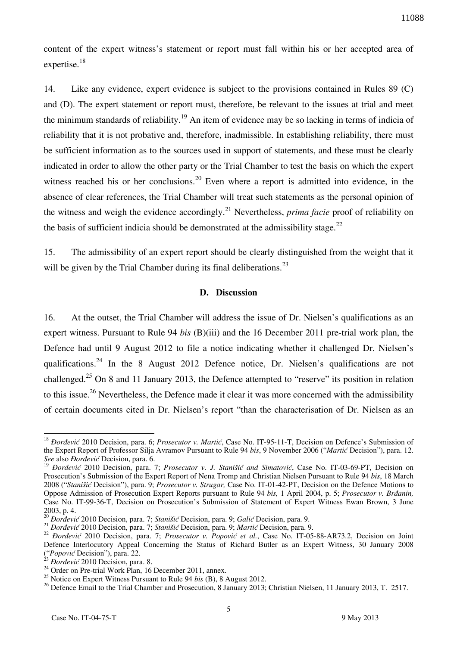content of the expert witness's statement or report must fall within his or her accepted area of expertise.<sup>18</sup>

14. Like any evidence, expert evidence is subject to the provisions contained in Rules 89 (C) and (D). The expert statement or report must, therefore, be relevant to the issues at trial and meet the minimum standards of reliability.<sup>19</sup> An item of evidence may be so lacking in terms of indicia of reliability that it is not probative and, therefore, inadmissible. In establishing reliability, there must be sufficient information as to the sources used in support of statements, and these must be clearly indicated in order to allow the other party or the Trial Chamber to test the basis on which the expert witness reached his or her conclusions.<sup>20</sup> Even where a report is admitted into evidence, in the absence of clear references, the Trial Chamber will treat such statements as the personal opinion of the witness and weigh the evidence accordingly.<sup>21</sup> Nevertheless, *prima facie* proof of reliability on the basis of sufficient indicia should be demonstrated at the admissibility stage. $^{22}$ 

15. The admissibility of an expert report should be clearly distinguished from the weight that it will be given by the Trial Chamber during its final deliberations.<sup>23</sup>

#### **D. Discussion**

16. At the outset, the Trial Chamber will address the issue of Dr. Nielsen's qualifications as an expert witness. Pursuant to Rule 94 *bis* (B)(iii) and the 16 December 2011 pre-trial work plan, the Defence had until 9 August 2012 to file a notice indicating whether it challenged Dr. Nielsen's qualifications.<sup>24</sup> In the 8 August 2012 Defence notice, Dr. Nielsen's qualifications are not challenged.<sup>25</sup> On 8 and 11 January 2013, the Defence attempted to "reserve" its position in relation to this issue.<sup>26</sup> Nevertheless, the Defence made it clear it was more concerned with the admissibility of certain documents cited in Dr. Nielsen's report "than the characterisation of Dr. Nielsen as an

<sup>&</sup>lt;sup>18</sup> *Dordević* 2010 Decision, para. 6; *Prosecutor v. Martić*, Case No. IT-95-11-T, Decision on Defence's Submission of the Expert Report of Professor Silja Avramov Pursuant to Rule 94 *bis*, 9 November 2006 ("*Martic* Decision"), para. 12. *See* also *\or|evi}* Decision, para. 6.

<sup>&</sup>lt;sup>19</sup> *Dordević* 2010 Decision, para. 7; *Prosecutor v. J. Stanišić and Simatović*, Case No. IT-03-69-PT, Decision on Prosecution's Submission of the Expert Report of Nena Tromp and Christian Nielsen Pursuant to Rule 94 *bis*, 18 March 2008 ("*Stani{i}* Decision"), para. 9; *Prosecutor v. Strugar,* Case No. IT-01-42-PT, Decision on the Defence Motions to Oppose Admission of Prosecution Expert Reports pursuant to Rule 94 *bis*, 1 April 2004, p. 5; *Prosecutor v. Brdanin,* Case No. IT-99-36-T, Decision on Prosecution's Submission of Statement of Expert Witness Ewan Brown, 3 June 2003, p. 4.

<sup>&</sup>lt;sup>20</sup> *Dordević* 2010 Decision, para. 7; *Stanišić* Decision, para. 9; *Galić* Decision, para. 9.

<sup>&</sup>lt;sup>21</sup> *Dordević* 2010 Decision, para. 7; *Stanišić* Decision, para. 9; *Martić* Decision, para. 9.

<sup>&</sup>lt;sup>22</sup> *Bordević* 2010 Decision, para. 7; *Prosecutor v. Popović et al.*, Case No. IT-05-88-AR73.2, Decision on Joint Defence Interlocutory Appeal Concerning the Status of Richard Butler as an Expert Witness, 30 January 2008 <sup>2</sup> *("Popović* Decision"), para. 22.

*Dordević 2010 Decision, para. 8.* 

 $^{24}$  Order on Pre-trial Work Plan, 16 December 2011, annex.

<sup>25</sup> Notice on Expert Witness Pursuant to Rule 94 *bis* (B), 8 August 2012.

<sup>&</sup>lt;sup>26</sup> Defence Email to the Trial Chamber and Prosecution, 8 January 2013; Christian Nielsen, 11 January 2013, T. 2517.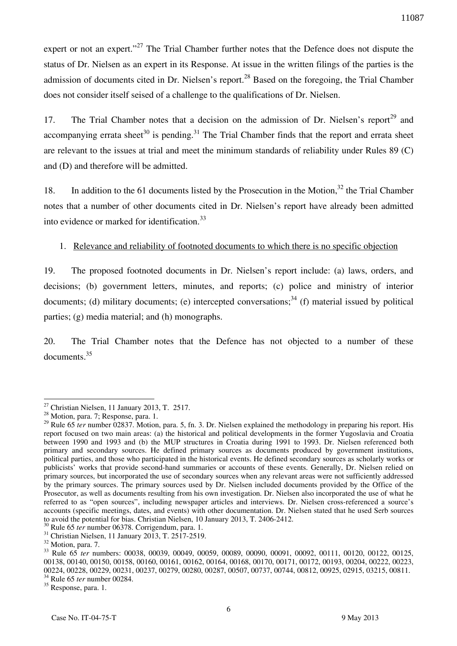expert or not an expert."<sup>27</sup> The Trial Chamber further notes that the Defence does not dispute the status of Dr. Nielsen as an expert in its Response. At issue in the written filings of the parties is the admission of documents cited in Dr. Nielsen's report.<sup>28</sup> Based on the foregoing, the Trial Chamber does not consider itself seised of a challenge to the qualifications of Dr. Nielsen.

17. The Trial Chamber notes that a decision on the admission of Dr. Nielsen's report<sup>29</sup> and accompanying errata sheet<sup>30</sup> is pending.<sup>31</sup> The Trial Chamber finds that the report and errata sheet are relevant to the issues at trial and meet the minimum standards of reliability under Rules 89 (C) and (D) and therefore will be admitted.

18. In addition to the 61 documents listed by the Prosecution in the Motion,  $32$  the Trial Chamber notes that a number of other documents cited in Dr. Nielsen's report have already been admitted into evidence or marked for identification.<sup>33</sup>

## 1. Relevance and reliability of footnoted documents to which there is no specific objection

19. The proposed footnoted documents in Dr. Nielsen's report include: (a) laws, orders, and decisions; (b) government letters, minutes, and reports; (c) police and ministry of interior documents; (d) military documents; (e) intercepted conversations;<sup>34</sup> (f) material issued by political parties; (g) media material; and (h) monographs.

20. The Trial Chamber notes that the Defence has not objected to a number of these documents.<sup>35</sup>

 $\overline{a}$  $27$  Christian Nielsen, 11 January 2013, T. 2517.

<sup>28</sup> Motion, para. 7; Response, para. 1.

<sup>&</sup>lt;sup>29</sup> Rule 65 *ter* number 02837. Motion, para. 5, fn. 3. Dr. Nielsen explained the methodology in preparing his report. His report focused on two main areas: (a) the historical and political developments in the former Yugoslavia and Croatia between 1990 and 1993 and (b) the MUP structures in Croatia during 1991 to 1993. Dr. Nielsen referenced both primary and secondary sources. He defined primary sources as documents produced by government institutions, political parties, and those who participated in the historical events. He defined secondary sources as scholarly works or publicists' works that provide second-hand summaries or accounts of these events. Generally, Dr. Nielsen relied on primary sources, but incorporated the use of secondary sources when any relevant areas were not sufficiently addressed by the primary sources. The primary sources used by Dr. Nielsen included documents provided by the Office of the Prosecutor, as well as documents resulting from his own investigation. Dr. Nielsen also incorporated the use of what he referred to as "open sources", including newspaper articles and interviews. Dr. Nielsen cross-referenced a source's accounts (specific meetings, dates, and events) with other documentation. Dr. Nielsen stated that he used Serb sources to avoid the potential for bias. Christian Nielsen, 10 January 2013, T. 2406-2412.

<sup>30</sup> Rule 65 *ter* number 06378. Corrigendum, para. 1.

 $31$  Christian Nielsen, 11 January 2013, T. 2517-2519.

<sup>&</sup>lt;sup>32</sup> Motion, para. 7.

<sup>33</sup> Rule 65 *ter* numbers: 00038, 00039, 00049, 00059, 00089, 00090, 00091, 00092, 00111, 00120, 00122, 00125, 00138, 00140, 00150, 00158, 00160, 00161, 00162, 00164, 00168, 00170, 00171, 00172, 00193, 00204, 00222, 00223, 00224, 00228, 00229, 00231, 00237, 00279, 00280, 00287, 00507, 00737, 00744, 00812, 00925, 02915, 03215, 00811. <sup>34</sup> Rule 65 *ter* number 00284.

<sup>&</sup>lt;sup>35</sup> Response, para. 1.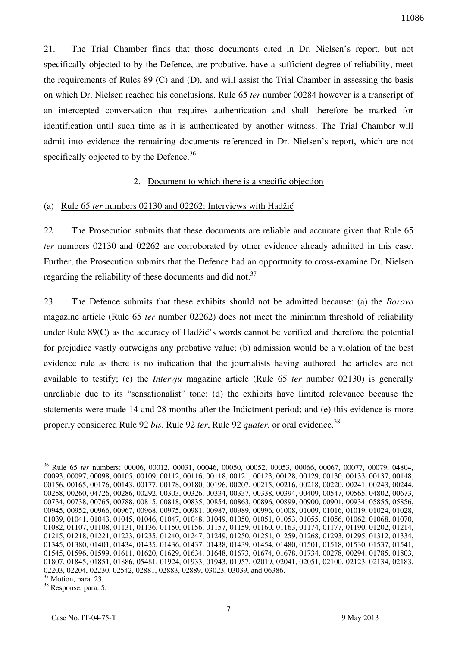21. The Trial Chamber finds that those documents cited in Dr. Nielsen's report, but not specifically objected to by the Defence, are probative, have a sufficient degree of reliability, meet the requirements of Rules 89 (C) and (D), and will assist the Trial Chamber in assessing the basis on which Dr. Nielsen reached his conclusions. Rule 65 *ter* number 00284 however is a transcript of an intercepted conversation that requires authentication and shall therefore be marked for identification until such time as it is authenticated by another witness. The Trial Chamber will admit into evidence the remaining documents referenced in Dr. Nielsen's report, which are not specifically objected to by the Defence.<sup>36</sup>

## 2. Document to which there is a specific objection

#### (a) Rule  $65$  *ter* numbers  $02130$  and  $02262$ : Interviews with Hadžić

22. The Prosecution submits that these documents are reliable and accurate given that Rule 65 *ter* numbers 02130 and 02262 are corroborated by other evidence already admitted in this case. Further, the Prosecution submits that the Defence had an opportunity to cross-examine Dr. Nielsen regarding the reliability of these documents and did not.<sup>37</sup>

23. The Defence submits that these exhibits should not be admitted because: (a) the *Borovo* magazine article (Rule 65 *ter* number 02262) does not meet the minimum threshold of reliability under Rule  $89(C)$  as the accuracy of Hadžić's words cannot be verified and therefore the potential for prejudice vastly outweighs any probative value; (b) admission would be a violation of the best evidence rule as there is no indication that the journalists having authored the articles are not available to testify; (c) the *Intervju* magazine article (Rule 65 *ter* number 02130) is generally unreliable due to its "sensationalist" tone; (d) the exhibits have limited relevance because the statements were made 14 and 28 months after the Indictment period; and (e) this evidence is more properly considered Rule 92 *bis*, Rule 92 *ter*, Rule 92 *quater*, or oral evidence.<sup>38</sup>

<sup>36</sup> Rule 65 *ter* numbers: 00006, 00012, 00031, 00046, 00050, 00052, 00053, 00066, 00067, 00077, 00079, 04804, 00093, 00097, 00098, 00105, 00109, 00112, 00116, 00118, 00121, 00123, 00128, 00129, 00130, 00133, 00137, 00148, 00156, 00165, 00176, 00143, 00177, 00178, 00180, 00196, 00207, 00215, 00216, 00218, 00220, 00241, 00243, 00244, 00258, 00260, 04726, 00286, 00292, 00303, 00326, 00334, 00337, 00338, 00394, 00409, 00547, 00565, 04802, 00673, 00734, 00738, 00765, 00788, 00815, 00818, 00835, 00854, 00863, 00896, 00899, 00900, 00901, 00934, 05855, 05856, 00945, 00952, 00966, 00967, 00968, 00975, 00981, 00987, 00989, 00996, 01008, 01009, 01016, 01019, 01024, 01028, 01039, 01041, 01043, 01045, 01046, 01047, 01048, 01049, 01050, 01051, 01053, 01055, 01056, 01062, 01068, 01070, 01082, 01107, 01108, 01131, 01136, 01150, 01156, 01157, 01159, 01160, 01163, 01174, 01177, 01190, 01202, 01214, 01215, 01218, 01221, 01223, 01235, 01240, 01247, 01249, 01250, 01251, 01259, 01268, 01293, 01295, 01312, 01334, 01345, 01380, 01401, 01434, 01435, 01436, 01437, 01438, 01439, 01454, 01480, 01501, 01518, 01530, 01537, 01541, 01545, 01596, 01599, 01611, 01620, 01629, 01634, 01648, 01673, 01674, 01678, 01734, 00278, 00294, 01785, 01803, 01807, 01845, 01851, 01886, 05481, 01924, 01933, 01943, 01957, 02019, 02041, 02051, 02100, 02123, 02134, 02183, 02203, 02204, 02230, 02542, 02881, 02883, 02889, 03023, 03039, and 06386.

<sup>37</sup> Motion, para. 23.

<sup>38</sup> Response, para. 5.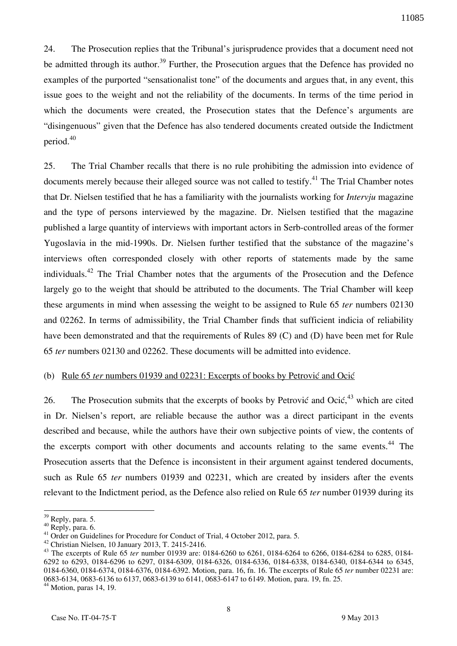24. The Prosecution replies that the Tribunal's jurisprudence provides that a document need not be admitted through its author.<sup>39</sup> Further, the Prosecution argues that the Defence has provided no examples of the purported "sensationalist tone" of the documents and argues that, in any event, this issue goes to the weight and not the reliability of the documents. In terms of the time period in which the documents were created, the Prosecution states that the Defence's arguments are "disingenuous" given that the Defence has also tendered documents created outside the Indictment period.<sup>40</sup>

25. The Trial Chamber recalls that there is no rule prohibiting the admission into evidence of documents merely because their alleged source was not called to testify.<sup>41</sup> The Trial Chamber notes that Dr. Nielsen testified that he has a familiarity with the journalists working for *Intervju* magazine and the type of persons interviewed by the magazine. Dr. Nielsen testified that the magazine published a large quantity of interviews with important actors in Serb-controlled areas of the former Yugoslavia in the mid-1990s. Dr. Nielsen further testified that the substance of the magazine's interviews often corresponded closely with other reports of statements made by the same individuals.<sup>42</sup> The Trial Chamber notes that the arguments of the Prosecution and the Defence largely go to the weight that should be attributed to the documents. The Trial Chamber will keep these arguments in mind when assessing the weight to be assigned to Rule 65 *ter* numbers 02130 and 02262. In terms of admissibility, the Trial Chamber finds that sufficient indicia of reliability have been demonstrated and that the requirements of Rules 89 (C) and (D) have been met for Rule 65 *ter* numbers 02130 and 02262. These documents will be admitted into evidence.

## (b) Rule 65 *ter* numbers 01939 and 02231: Excerpts of books by Petrović and Ocić

26. The Prosecution submits that the excerpts of books by Petrović and Ocić, $43$  which are cited in Dr. Nielsen's report, are reliable because the author was a direct participant in the events described and because, while the authors have their own subjective points of view, the contents of the excerpts comport with other documents and accounts relating to the same events.<sup>44</sup> The Prosecution asserts that the Defence is inconsistent in their argument against tendered documents, such as Rule 65 *ter* numbers 01939 and 02231, which are created by insiders after the events relevant to the Indictment period, as the Defence also relied on Rule 65 *ter* number 01939 during its

1

 $44$  Motion, paras 14, 19.

<sup>&</sup>lt;sup>39</sup> Reply, para. 5.

<sup>40</sup> Reply, para. 6.

<sup>&</sup>lt;sup>41</sup> Order on Guidelines for Procedure for Conduct of Trial, 4 October 2012, para. 5.

<sup>42</sup> Christian Nielsen, 10 January 2013, T. 2415-2416.

<sup>43</sup> The excerpts of Rule 65 *ter* number 01939 are: 0184-6260 to 6261, 0184-6264 to 6266, 0184-6284 to 6285, 0184- 6292 to 6293, 0184-6296 to 6297, 0184-6309, 0184-6326, 0184-6336, 0184-6338, 0184-6340, 0184-6344 to 6345, 0184-6360, 0184-6374, 0184-6376, 0184-6392. Motion, para. 16, fn. 16. The excerpts of Rule 65 *ter* number 02231 are: 0683-6134, 0683-6136 to 6137, 0683-6139 to 6141, 0683-6147 to 6149. Motion, para. 19, fn. 25.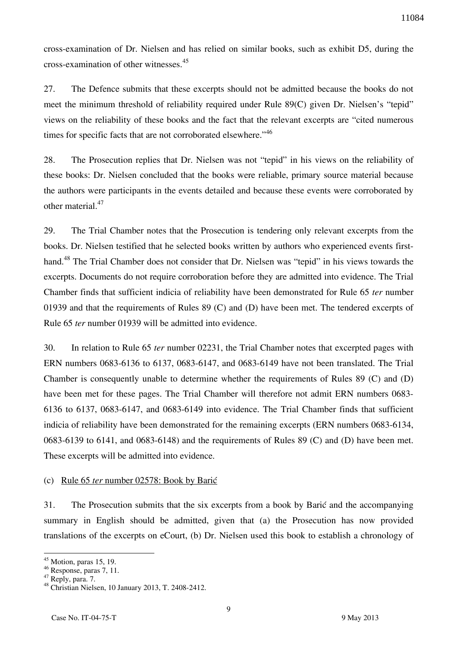cross-examination of Dr. Nielsen and has relied on similar books, such as exhibit D5, during the cross-examination of other witnesses.<sup>45</sup>

27. The Defence submits that these excerpts should not be admitted because the books do not meet the minimum threshold of reliability required under Rule 89(C) given Dr. Nielsen's "tepid" views on the reliability of these books and the fact that the relevant excerpts are "cited numerous times for specific facts that are not corroborated elsewhere."<sup>46</sup>

28. The Prosecution replies that Dr. Nielsen was not "tepid" in his views on the reliability of these books: Dr. Nielsen concluded that the books were reliable, primary source material because the authors were participants in the events detailed and because these events were corroborated by other material.<sup>47</sup>

29. The Trial Chamber notes that the Prosecution is tendering only relevant excerpts from the books. Dr. Nielsen testified that he selected books written by authors who experienced events firsthand.<sup>48</sup> The Trial Chamber does not consider that Dr. Nielsen was "tepid" in his views towards the excerpts. Documents do not require corroboration before they are admitted into evidence. The Trial Chamber finds that sufficient indicia of reliability have been demonstrated for Rule 65 *ter* number 01939 and that the requirements of Rules 89 (C) and (D) have been met. The tendered excerpts of Rule 65 *ter* number 01939 will be admitted into evidence.

30. In relation to Rule 65 *ter* number 02231, the Trial Chamber notes that excerpted pages with ERN numbers 0683-6136 to 6137, 0683-6147, and 0683-6149 have not been translated. The Trial Chamber is consequently unable to determine whether the requirements of Rules 89 (C) and (D) have been met for these pages. The Trial Chamber will therefore not admit ERN numbers 0683- 6136 to 6137, 0683-6147, and 0683-6149 into evidence. The Trial Chamber finds that sufficient indicia of reliability have been demonstrated for the remaining excerpts (ERN numbers 0683-6134, 0683-6139 to 6141, and 0683-6148) and the requirements of Rules 89 (C) and (D) have been met. These excerpts will be admitted into evidence.

#### (c) Rule 65 *ter* number 02578: Book by Barić

31. The Prosecution submits that the six excerpts from a book by Barić and the accompanying summary in English should be admitted, given that (a) the Prosecution has now provided translations of the excerpts on eCourt, (b) Dr. Nielsen used this book to establish a chronology of

 $45$  Motion, paras 15, 19.

<sup>46</sup> Response, paras 7, 11.

<sup>&</sup>lt;sup>47</sup> Reply, para. 7.

<sup>48</sup> Christian Nielsen, 10 January 2013, T. 2408-2412.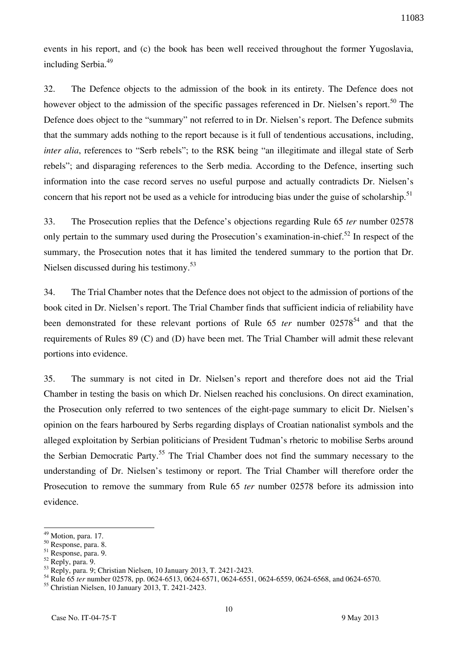events in his report, and (c) the book has been well received throughout the former Yugoslavia, including Serbia.<sup>49</sup>

32. The Defence objects to the admission of the book in its entirety. The Defence does not however object to the admission of the specific passages referenced in Dr. Nielsen's report.<sup>50</sup> The Defence does object to the "summary" not referred to in Dr. Nielsen's report. The Defence submits that the summary adds nothing to the report because is it full of tendentious accusations, including, *inter alia*, references to "Serb rebels"; to the RSK being "an illegitimate and illegal state of Serb rebels"; and disparaging references to the Serb media. According to the Defence, inserting such information into the case record serves no useful purpose and actually contradicts Dr. Nielsen's concern that his report not be used as a vehicle for introducing bias under the guise of scholarship.<sup>51</sup>

33. The Prosecution replies that the Defence's objections regarding Rule 65 *ter* number 02578 only pertain to the summary used during the Prosecution's examination-in-chief.<sup>52</sup> In respect of the summary, the Prosecution notes that it has limited the tendered summary to the portion that Dr. Nielsen discussed during his testimony.<sup>53</sup>

34. The Trial Chamber notes that the Defence does not object to the admission of portions of the book cited in Dr. Nielsen's report. The Trial Chamber finds that sufficient indicia of reliability have been demonstrated for these relevant portions of Rule 65 *ter* number 02578<sup>54</sup> and that the requirements of Rules 89 (C) and (D) have been met. The Trial Chamber will admit these relevant portions into evidence.

35. The summary is not cited in Dr. Nielsen's report and therefore does not aid the Trial Chamber in testing the basis on which Dr. Nielsen reached his conclusions. On direct examination, the Prosecution only referred to two sentences of the eight-page summary to elicit Dr. Nielsen's opinion on the fears harboured by Serbs regarding displays of Croatian nationalist symbols and the alleged exploitation by Serbian politicians of President Tuđman's rhetoric to mobilise Serbs around the Serbian Democratic Party.<sup>55</sup> The Trial Chamber does not find the summary necessary to the understanding of Dr. Nielsen's testimony or report. The Trial Chamber will therefore order the Prosecution to remove the summary from Rule 65 *ter* number 02578 before its admission into evidence.

<sup>&</sup>lt;sup>49</sup> Motion, para. 17.

<sup>50</sup> Response, para. 8.

<sup>51</sup> Response, para. 9.

<sup>52</sup> Reply, para. 9.

<sup>53</sup> Reply, para. 9; Christian Nielsen, 10 January 2013, T. 2421-2423.

<sup>54</sup> Rule 65 *ter* number 02578, pp. 0624-6513, 0624-6571, 0624-6551, 0624-6559, 0624-6568, and 0624-6570.

<sup>55</sup> Christian Nielsen, 10 January 2013, T. 2421-2423.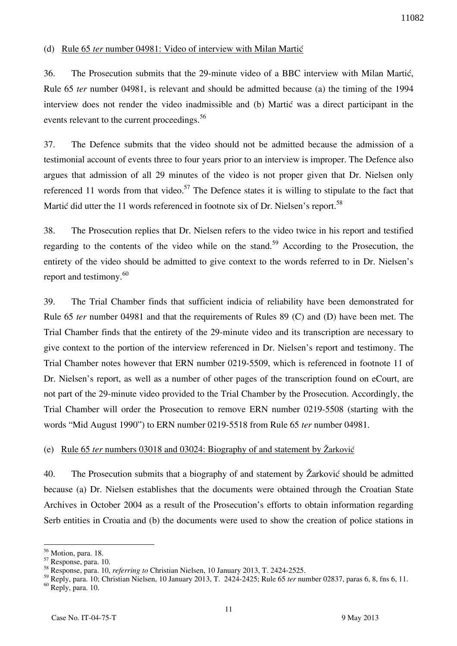## (d) Rule 65 *ter* number 04981: Video of interview with Milan Martic

36. The Prosecution submits that the 29-minute video of a BBC interview with Milan Martic, Rule 65 *ter* number 04981, is relevant and should be admitted because (a) the timing of the 1994 interview does not render the video inadmissible and (b) Martic was a direct participant in the events relevant to the current proceedings.<sup>56</sup>

37. The Defence submits that the video should not be admitted because the admission of a testimonial account of events three to four years prior to an interview is improper. The Defence also argues that admission of all 29 minutes of the video is not proper given that Dr. Nielsen only referenced 11 words from that video.<sup>57</sup> The Defence states it is willing to stipulate to the fact that Martic did utter the 11 words referenced in footnote six of Dr. Nielsen's report.<sup>58</sup>

38. The Prosecution replies that Dr. Nielsen refers to the video twice in his report and testified regarding to the contents of the video while on the stand.<sup>59</sup> According to the Prosecution, the entirety of the video should be admitted to give context to the words referred to in Dr. Nielsen's report and testimony. $60$ 

39. The Trial Chamber finds that sufficient indicia of reliability have been demonstrated for Rule 65 *ter* number 04981 and that the requirements of Rules 89 (C) and (D) have been met. The Trial Chamber finds that the entirety of the 29-minute video and its transcription are necessary to give context to the portion of the interview referenced in Dr. Nielsen's report and testimony. The Trial Chamber notes however that ERN number 0219-5509, which is referenced in footnote 11 of Dr. Nielsen's report, as well as a number of other pages of the transcription found on eCourt, are not part of the 29-minute video provided to the Trial Chamber by the Prosecution. Accordingly, the Trial Chamber will order the Prosecution to remove ERN number 0219-5508 (starting with the words "Mid August 1990") to ERN number 0219-5518 from Rule 65 *ter* number 04981.

#### (e) Rule 65 *ter* numbers 03018 and 03024: Biography of and statement by Žarković

40. The Prosecution submits that a biography of and statement by  $\check{Z}$ arković should be admitted because (a) Dr. Nielsen establishes that the documents were obtained through the Croatian State Archives in October 2004 as a result of the Prosecution's efforts to obtain information regarding Serb entities in Croatia and (b) the documents were used to show the creation of police stations in

 $\overline{a}$ <sup>56</sup> Motion, para. 18.

<sup>57</sup> Response, para. 10.

<sup>58</sup> Response, para. 10, *referring to* Christian Nielsen, 10 January 2013, T. 2424-2525.

<sup>59</sup> Reply, para. 10; Christian Nielsen, 10 January 2013, T. 2424-2425; Rule 65 *ter* number 02837, paras 6, 8, fns 6, 11. <sup>60</sup> Reply, para. 10.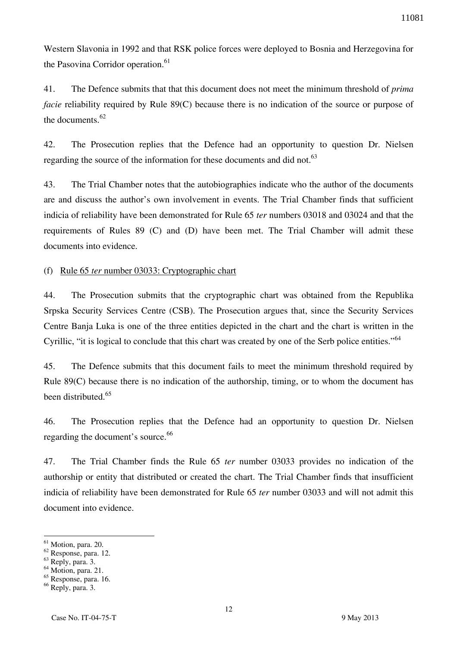Western Slavonia in 1992 and that RSK police forces were deployed to Bosnia and Herzegovina for the Pasovina Corridor operation.<sup>61</sup>

41. The Defence submits that that this document does not meet the minimum threshold of *prima facie* reliability required by Rule 89(C) because there is no indication of the source or purpose of the documents.<sup>62</sup>

42. The Prosecution replies that the Defence had an opportunity to question Dr. Nielsen regarding the source of the information for these documents and did not.<sup>63</sup>

43. The Trial Chamber notes that the autobiographies indicate who the author of the documents are and discuss the author's own involvement in events. The Trial Chamber finds that sufficient indicia of reliability have been demonstrated for Rule 65 *ter* numbers 03018 and 03024 and that the requirements of Rules 89 (C) and (D) have been met. The Trial Chamber will admit these documents into evidence.

(f) Rule 65 *ter* number 03033: Cryptographic chart

44. The Prosecution submits that the cryptographic chart was obtained from the Republika Srpska Security Services Centre (CSB). The Prosecution argues that, since the Security Services Centre Banja Luka is one of the three entities depicted in the chart and the chart is written in the Cyrillic, "it is logical to conclude that this chart was created by one of the Serb police entities."<sup>64</sup>

45. The Defence submits that this document fails to meet the minimum threshold required by Rule 89(C) because there is no indication of the authorship, timing, or to whom the document has been distributed<sup>65</sup>

46. The Prosecution replies that the Defence had an opportunity to question Dr. Nielsen regarding the document's source.<sup>66</sup>

47. The Trial Chamber finds the Rule 65 *ter* number 03033 provides no indication of the authorship or entity that distributed or created the chart. The Trial Chamber finds that insufficient indicia of reliability have been demonstrated for Rule 65 *ter* number 03033 and will not admit this document into evidence.

 $<sup>61</sup>$  Motion, para. 20.</sup>

<sup>62</sup> Response, para. 12.

<sup>63</sup> Reply, para. 3.

 $64$  Motion, para. 21.

<sup>65</sup> Response, para. 16.

<sup>66</sup> Reply, para. 3.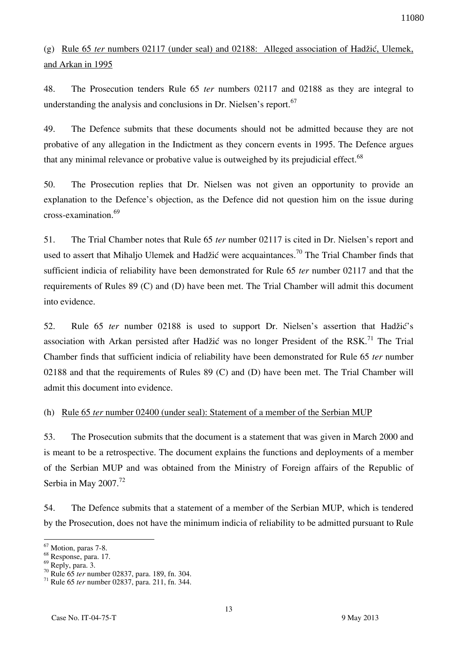# (g) Rule 65 *ter* numbers 02117 (under seal) and 02188: Alleged association of Hadžić, Ulemek, and Arkan in 1995

48. The Prosecution tenders Rule 65 *ter* numbers 02117 and 02188 as they are integral to understanding the analysis and conclusions in Dr. Nielsen's report.<sup>67</sup>

49. The Defence submits that these documents should not be admitted because they are not probative of any allegation in the Indictment as they concern events in 1995. The Defence argues that any minimal relevance or probative value is outweighed by its prejudicial effect. $^{68}$ 

50. The Prosecution replies that Dr. Nielsen was not given an opportunity to provide an explanation to the Defence's objection, as the Defence did not question him on the issue during cross-examination.<sup>69</sup>

51. The Trial Chamber notes that Rule 65 *ter* number 02117 is cited in Dr. Nielsen's report and used to assert that Mihaljo Ulemek and Hadžić were acquaintances.<sup>70</sup> The Trial Chamber finds that sufficient indicia of reliability have been demonstrated for Rule 65 *ter* number 02117 and that the requirements of Rules 89 (C) and (D) have been met. The Trial Chamber will admit this document into evidence.

52. Rule 65 *ter* number 02188 is used to support Dr. Nielsen's assertion that Hadžić's association with Arkan persisted after Hadžić was no longer President of the RSK.<sup>71</sup> The Trial Chamber finds that sufficient indicia of reliability have been demonstrated for Rule 65 *ter* number 02188 and that the requirements of Rules 89 (C) and (D) have been met. The Trial Chamber will admit this document into evidence.

## (h) Rule 65 *ter* number 02400 (under seal): Statement of a member of the Serbian MUP

53. The Prosecution submits that the document is a statement that was given in March 2000 and is meant to be a retrospective. The document explains the functions and deployments of a member of the Serbian MUP and was obtained from the Ministry of Foreign affairs of the Republic of Serbia in May 2007. $^{72}$ 

54. The Defence submits that a statement of a member of the Serbian MUP, which is tendered by the Prosecution, does not have the minimum indicia of reliability to be admitted pursuant to Rule

 $\overline{a}$ <sup>67</sup> Motion, paras 7-8.

<sup>68</sup> Response, para. 17.

<sup>69</sup> Reply, para. 3.

<sup>70</sup> Rule 65 *ter* number 02837, para. 189, fn. 304.

<sup>71</sup> Rule 65 *ter* number 02837, para. 211, fn. 344.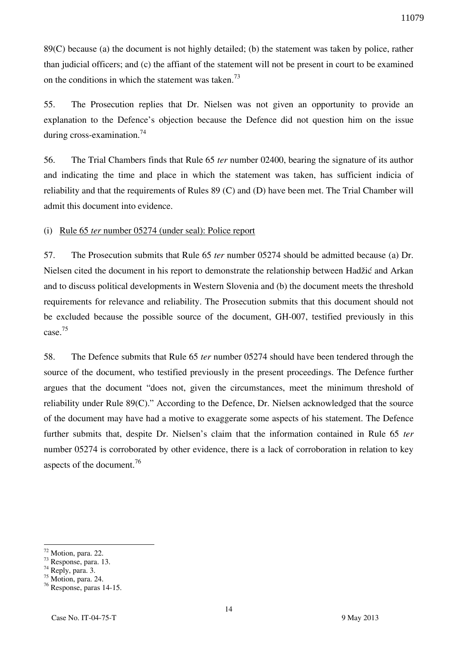89(C) because (a) the document is not highly detailed; (b) the statement was taken by police, rather than judicial officers; and (c) the affiant of the statement will not be present in court to be examined on the conditions in which the statement was taken.<sup>73</sup>

55. The Prosecution replies that Dr. Nielsen was not given an opportunity to provide an explanation to the Defence's objection because the Defence did not question him on the issue during cross-examination.<sup>74</sup>

56. The Trial Chambers finds that Rule 65 *ter* number 02400, bearing the signature of its author and indicating the time and place in which the statement was taken, has sufficient indicia of reliability and that the requirements of Rules 89 (C) and (D) have been met. The Trial Chamber will admit this document into evidence.

(i) Rule 65 *ter* number 05274 (under seal): Police report

57. The Prosecution submits that Rule 65 *ter* number 05274 should be admitted because (a) Dr. Nielsen cited the document in his report to demonstrate the relationship between Hadžić and Arkan and to discuss political developments in Western Slovenia and (b) the document meets the threshold requirements for relevance and reliability. The Prosecution submits that this document should not be excluded because the possible source of the document, GH-007, testified previously in this case. 75

58. The Defence submits that Rule 65 *ter* number 05274 should have been tendered through the source of the document, who testified previously in the present proceedings. The Defence further argues that the document "does not, given the circumstances, meet the minimum threshold of reliability under Rule 89(C)." According to the Defence, Dr. Nielsen acknowledged that the source of the document may have had a motive to exaggerate some aspects of his statement. The Defence further submits that, despite Dr. Nielsen's claim that the information contained in Rule 65 *ter* number 05274 is corroborated by other evidence, there is a lack of corroboration in relation to key aspects of the document.<sup>76</sup>

 $\overline{a}$  $72$  Motion, para. 22.

<sup>73</sup> Response, para. 13.

 $74$  Reply, para. 3.

 $75$  Motion, para. 24.

<sup>76</sup> Response, paras 14-15.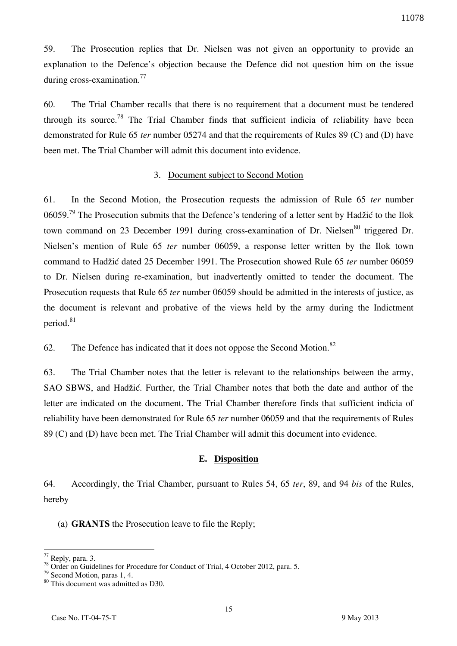59. The Prosecution replies that Dr. Nielsen was not given an opportunity to provide an explanation to the Defence's objection because the Defence did not question him on the issue during cross-examination.<sup>77</sup>

60. The Trial Chamber recalls that there is no requirement that a document must be tendered through its source.<sup>78</sup> The Trial Chamber finds that sufficient indicia of reliability have been demonstrated for Rule 65 *ter* number 05274 and that the requirements of Rules 89 (C) and (D) have been met. The Trial Chamber will admit this document into evidence.

#### 3. Document subject to Second Motion

61. In the Second Motion, the Prosecution requests the admission of Rule 65 *ter* number 06059.<sup>79</sup> The Prosecution submits that the Defence's tendering of a letter sent by Hadžić to the Ilok town command on 23 December 1991 during cross-examination of Dr. Nielsen $80$  triggered Dr. Nielsen's mention of Rule 65 *ter* number 06059, a response letter written by the Ilok town command to Hadžić dated 25 December 1991. The Prosecution showed Rule 65 *ter* number 06059 to Dr. Nielsen during re-examination, but inadvertently omitted to tender the document. The Prosecution requests that Rule 65 *ter* number 06059 should be admitted in the interests of justice, as the document is relevant and probative of the views held by the army during the Indictment period.<sup>81</sup>

62. The Defence has indicated that it does not oppose the Second Motion.<sup>82</sup>

63. The Trial Chamber notes that the letter is relevant to the relationships between the army, SAO SBWS, and Hadžić. Further, the Trial Chamber notes that both the date and author of the letter are indicated on the document. The Trial Chamber therefore finds that sufficient indicia of reliability have been demonstrated for Rule 65 *ter* number 06059 and that the requirements of Rules 89 (C) and (D) have been met. The Trial Chamber will admit this document into evidence.

#### **E. Disposition**

64. Accordingly, the Trial Chamber, pursuant to Rules 54, 65 *ter*, 89, and 94 *bis* of the Rules, hereby

(a) **GRANTS** the Prosecution leave to file the Reply;

 $77$  Reply, para. 3.

<sup>&</sup>lt;sup>78</sup> Order on Guidelines for Procedure for Conduct of Trial, 4 October 2012, para. 5.

<sup>79</sup> Second Motion, paras 1, 4.

<sup>80</sup> This document was admitted as D30.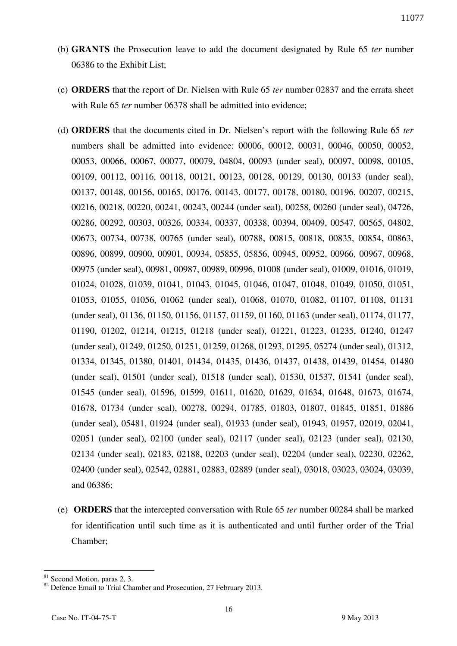- (b) **GRANTS** the Prosecution leave to add the document designated by Rule 65 *ter* number 06386 to the Exhibit List;
- (c) **ORDERS** that the report of Dr. Nielsen with Rule 65 *ter* number 02837 and the errata sheet with Rule 65 *ter* number 06378 shall be admitted into evidence;
- (d) **ORDERS** that the documents cited in Dr. Nielsen's report with the following Rule 65 *ter*  numbers shall be admitted into evidence: 00006, 00012, 00031, 00046, 00050, 00052, 00053, 00066, 00067, 00077, 00079, 04804, 00093 (under seal), 00097, 00098, 00105, 00109, 00112, 00116, 00118, 00121, 00123, 00128, 00129, 00130, 00133 (under seal), 00137, 00148, 00156, 00165, 00176, 00143, 00177, 00178, 00180, 00196, 00207, 00215, 00216, 00218, 00220, 00241, 00243, 00244 (under seal), 00258, 00260 (under seal), 04726, 00286, 00292, 00303, 00326, 00334, 00337, 00338, 00394, 00409, 00547, 00565, 04802, 00673, 00734, 00738, 00765 (under seal), 00788, 00815, 00818, 00835, 00854, 00863, 00896, 00899, 00900, 00901, 00934, 05855, 05856, 00945, 00952, 00966, 00967, 00968, 00975 (under seal), 00981, 00987, 00989, 00996, 01008 (under seal), 01009, 01016, 01019, 01024, 01028, 01039, 01041, 01043, 01045, 01046, 01047, 01048, 01049, 01050, 01051, 01053, 01055, 01056, 01062 (under seal), 01068, 01070, 01082, 01107, 01108, 01131 (under seal), 01136, 01150, 01156, 01157, 01159, 01160, 01163 (under seal), 01174, 01177, 01190, 01202, 01214, 01215, 01218 (under seal), 01221, 01223, 01235, 01240, 01247 (under seal), 01249, 01250, 01251, 01259, 01268, 01293, 01295, 05274 (under seal), 01312, 01334, 01345, 01380, 01401, 01434, 01435, 01436, 01437, 01438, 01439, 01454, 01480 (under seal), 01501 (under seal), 01518 (under seal), 01530, 01537, 01541 (under seal), 01545 (under seal), 01596, 01599, 01611, 01620, 01629, 01634, 01648, 01673, 01674, 01678, 01734 (under seal), 00278, 00294, 01785, 01803, 01807, 01845, 01851, 01886 (under seal), 05481, 01924 (under seal), 01933 (under seal), 01943, 01957, 02019, 02041, 02051 (under seal), 02100 (under seal), 02117 (under seal), 02123 (under seal), 02130, 02134 (under seal), 02183, 02188, 02203 (under seal), 02204 (under seal), 02230, 02262, 02400 (under seal), 02542, 02881, 02883, 02889 (under seal), 03018, 03023, 03024, 03039, and 06386;
- (e) **ORDERS** that the intercepted conversation with Rule 65 *ter* number 00284 shall be marked for identification until such time as it is authenticated and until further order of the Trial Chamber;

<sup>&</sup>lt;sup>81</sup> Second Motion, paras 2, 3.

<sup>&</sup>lt;sup>82</sup> Defence Email to Trial Chamber and Prosecution, 27 February 2013.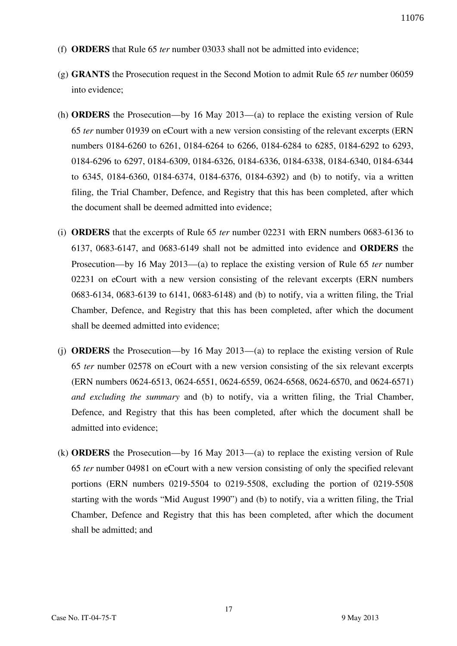- (f) **ORDERS** that Rule 65 *ter* number 03033 shall not be admitted into evidence;
- (g) **GRANTS** the Prosecution request in the Second Motion to admit Rule 65 *ter* number 06059 into evidence;
- (h) **ORDERS** the Prosecution—by 16 May 2013—(a) to replace the existing version of Rule 65 *ter* number 01939 on eCourt with a new version consisting of the relevant excerpts (ERN numbers 0184-6260 to 6261, 0184-6264 to 6266, 0184-6284 to 6285, 0184-6292 to 6293, 0184-6296 to 6297, 0184-6309, 0184-6326, 0184-6336, 0184-6338, 0184-6340, 0184-6344 to 6345, 0184-6360, 0184-6374, 0184-6376, 0184-6392) and (b) to notify, via a written filing, the Trial Chamber, Defence, and Registry that this has been completed, after which the document shall be deemed admitted into evidence;
- (i) **ORDERS** that the excerpts of Rule 65 *ter* number 02231 with ERN numbers 0683-6136 to 6137, 0683-6147, and 0683-6149 shall not be admitted into evidence and **ORDERS** the Prosecution—by 16 May 2013—(a) to replace the existing version of Rule 65 *ter* number 02231 on eCourt with a new version consisting of the relevant excerpts (ERN numbers 0683-6134, 0683-6139 to 6141, 0683-6148) and (b) to notify, via a written filing, the Trial Chamber, Defence, and Registry that this has been completed, after which the document shall be deemed admitted into evidence;
- (j) **ORDERS** the Prosecution—by 16 May 2013—(a) to replace the existing version of Rule 65 *ter* number 02578 on eCourt with a new version consisting of the six relevant excerpts (ERN numbers 0624-6513, 0624-6551, 0624-6559, 0624-6568, 0624-6570, and 0624-6571) *and excluding the summary* and (b) to notify, via a written filing, the Trial Chamber, Defence, and Registry that this has been completed, after which the document shall be admitted into evidence;
- (k) **ORDERS** the Prosecution—by 16 May 2013—(a) to replace the existing version of Rule 65 *ter* number 04981 on eCourt with a new version consisting of only the specified relevant portions (ERN numbers 0219-5504 to 0219-5508, excluding the portion of 0219-5508 starting with the words "Mid August 1990") and (b) to notify, via a written filing, the Trial Chamber, Defence and Registry that this has been completed, after which the document shall be admitted; and